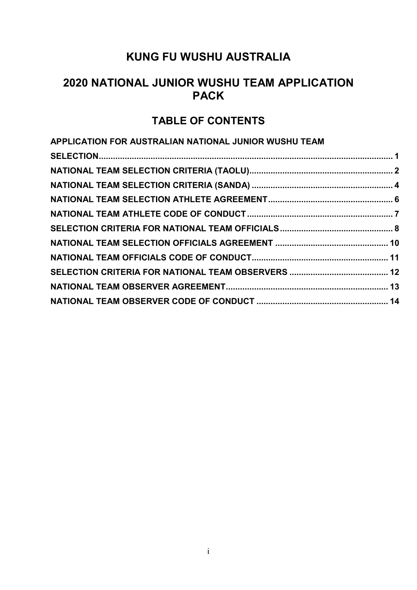## **2020 NATIONAL JUNIOR WUSHU TEAM APPLICATION PACK**

## **TABLE OF CONTENTS**

| APPLICATION FOR AUSTRALIAN NATIONAL JUNIOR WUSHU TEAM |  |
|-------------------------------------------------------|--|
|                                                       |  |
|                                                       |  |
|                                                       |  |
|                                                       |  |
|                                                       |  |
|                                                       |  |
|                                                       |  |
|                                                       |  |
|                                                       |  |
|                                                       |  |
|                                                       |  |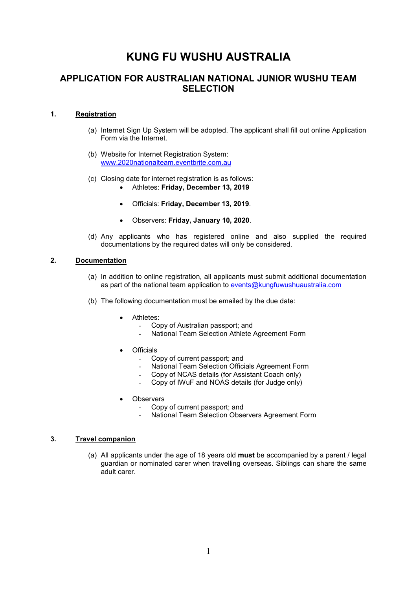### **APPLICATION FOR AUSTRALIAN NATIONAL JUNIOR WUSHU TEAM SELECTION**

### **1. Registration**

- (a) Internet Sign Up System will be adopted. The applicant shall fill out online Application Form via the Internet.
- (b) Website for Internet Registration System: www.2020nationalteam.eventbrite.com.au
- (c) Closing date for internet registration is as follows:
	- Athletes: **Friday, December 13, 2019**
	- Officials: **Friday, December 13, 2019**.
	- Observers: **Friday, January 10, 2020**.
- (d) Any applicants who has registered online and also supplied the required documentations by the required dates will only be considered.

### **2. Documentation**

- (a) In addition to online registration, all applicants must submit additional documentation as part of the national team application to events@kungfuwushuaustralia.com
- (b) The following documentation must be emailed by the due date:
	- Athletes:
		- Copy of Australian passport; and
		- National Team Selection Athlete Agreement Form
	- **Officials** 
		- Copy of current passport; and
		- National Team Selection Officials Agreement Form
		- Copy of NCAS details (for Assistant Coach only)
		- Copy of IWuF and NOAS details (for Judge only)
	- **Observers** 
		- Copy of current passport; and
		- National Team Selection Observers Agreement Form

#### **3. Travel companion**

(a) All applicants under the age of 18 years old **must** be accompanied by a parent / legal guardian or nominated carer when travelling overseas. Siblings can share the same adult carer.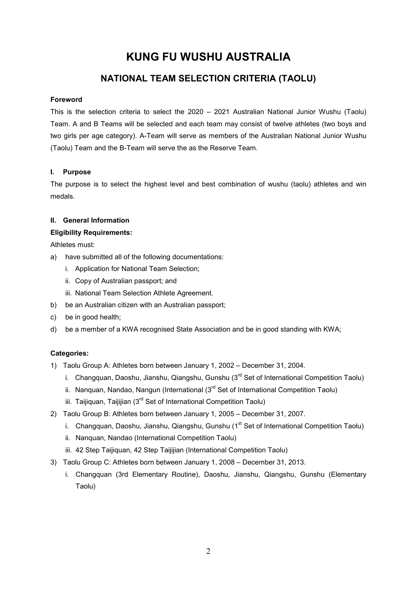## **NATIONAL TEAM SELECTION CRITERIA (TAOLU)**

### **Foreword**

This is the selection criteria to select the 2020 – 2021 Australian National Junior Wushu (Taolu) Team. A and B Teams will be selected and each team may consist of twelve athletes (two boys and two girls per age category). A-Team will serve as members of the Australian National Junior Wushu (Taolu) Team and the B-Team will serve the as the Reserve Team.

### **I. Purpose**

The purpose is to select the highest level and best combination of wushu (taolu) athletes and win medals.

### **II. General Information**

### **Eligibility Requirements:**

Athletes must:

- a) have submitted all of the following documentations:
	- i. Application for National Team Selection;
	- ii. Copy of Australian passport; and
	- iii. National Team Selection Athlete Agreement.
- b) be an Australian citizen with an Australian passport;
- c) be in good health;
- d) be a member of a KWA recognised State Association and be in good standing with KWA;

### **Categories:**

- 1) Taolu Group A: Athletes born between January 1, 2002 December 31, 2004.
	- i. Changquan, Daoshu, Jianshu, Qiangshu, Gunshu  $3^{rd}$  Set of International Competition Taolu)
	- ii. Nanguan, Nandao, Nangun (International  $(3<sup>rd</sup>$  Set of International Competition Taolu)
	- iii. Taijiquan, Taijijian (3<sup>rd</sup> Set of International Competition Taolu)
- 2) Taolu Group B: Athletes born between January 1, 2005 December 31, 2007.
	- i. Changquan, Daoshu, Jianshu, Qiangshu, Gunshu ( $1<sup>st</sup>$  Set of International Competition Taolu)
	- ii. Nanquan, Nandao (International Competition Taolu)
	- iii. 42 Step Taijiquan, 42 Step Taijijian (International Competition Taolu)
- 3) Taolu Group C: Athletes born between January 1, 2008 December 31, 2013.
	- i. Changquan (3rd Elementary Routine), Daoshu, Jianshu, Qiangshu, Gunshu (Elementary Taolu)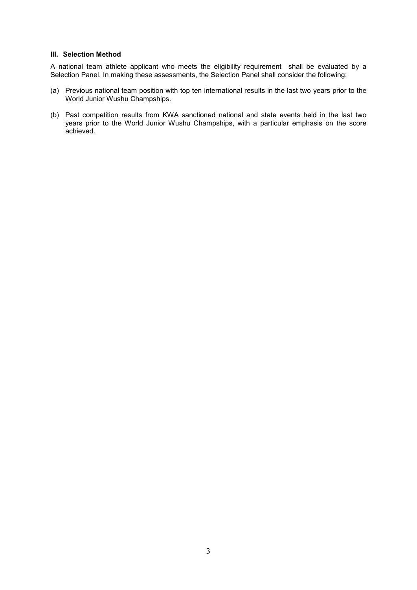#### **III. Selection Method**

A national team athlete applicant who meets the eligibility requirement shall be evaluated by a Selection Panel. In making these assessments, the Selection Panel shall consider the following:

- (a) Previous national team position with top ten international results in the last two years prior to the World Junior Wushu Champships.
- (b) Past competition results from KWA sanctioned national and state events held in the last two years prior to the World Junior Wushu Champships, with a particular emphasis on the score achieved.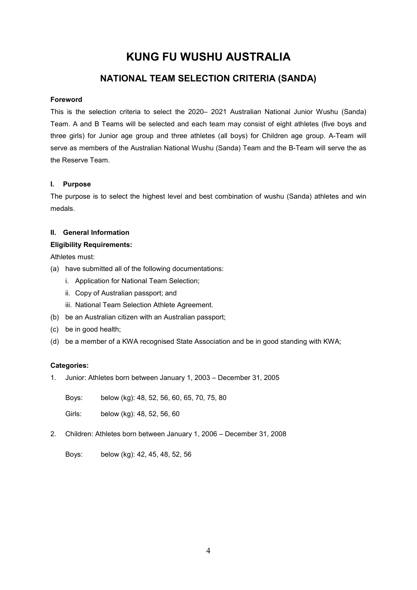## **NATIONAL TEAM SELECTION CRITERIA (SANDA)**

### **Foreword**

This is the selection criteria to select the 2020– 2021 Australian National Junior Wushu (Sanda) Team. A and B Teams will be selected and each team may consist of eight athletes (five boys and three girls) for Junior age group and three athletes (all boys) for Children age group. A-Team will serve as members of the Australian National Wushu (Sanda) Team and the B-Team will serve the as the Reserve Team.

### **I. Purpose**

The purpose is to select the highest level and best combination of wushu (Sanda) athletes and win medals.

### **II. General Information**

### **Eligibility Requirements:**

Athletes must:

- (a) have submitted all of the following documentations:
	- i. Application for National Team Selection;
	- ii. Copy of Australian passport; and
	- iii. National Team Selection Athlete Agreement.
- (b) be an Australian citizen with an Australian passport;
- (c) be in good health;
- (d) be a member of a KWA recognised State Association and be in good standing with KWA;

### **Categories:**

1. Junior: Athletes born between January 1, 2003 – December 31, 2005

Boys: below (kg): 48, 52, 56, 60, 65, 70, 75, 80

Girls: below (kg): 48, 52, 56, 60

2. Children: Athletes born between January 1, 2006 – December 31, 2008

Boys: below (kg): 42, 45, 48, 52, 56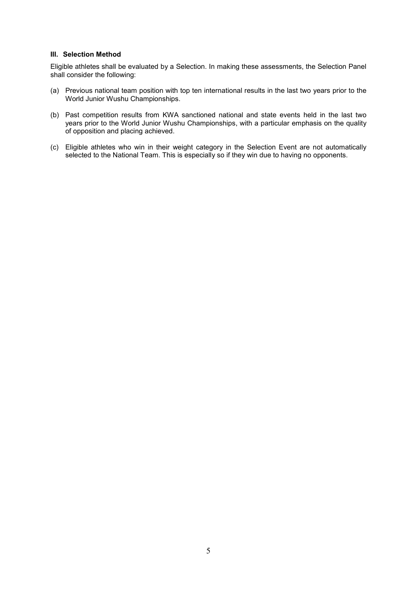#### **III. Selection Method**

Eligible athletes shall be evaluated by a Selection. In making these assessments, the Selection Panel shall consider the following:

- (a) Previous national team position with top ten international results in the last two years prior to the World Junior Wushu Championships.
- (b) Past competition results from KWA sanctioned national and state events held in the last two years prior to the World Junior Wushu Championships, with a particular emphasis on the quality of opposition and placing achieved.
- (c) Eligible athletes who win in their weight category in the Selection Event are not automatically selected to the National Team. This is especially so if they win due to having no opponents.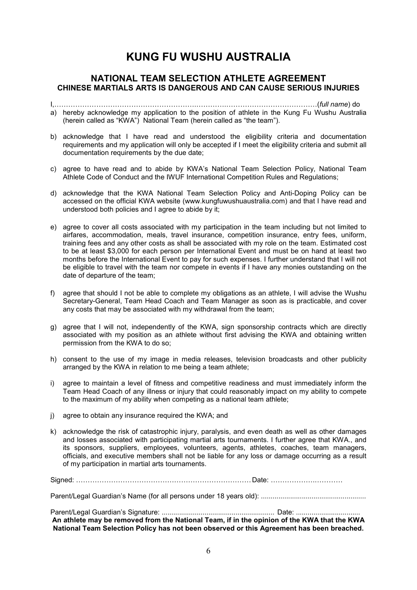### **NATIONAL TEAM SELECTION ATHLETE AGREEMENT CHINESE MARTIALS ARTS IS DANGEROUS AND CAN CAUSE SERIOUS INJURIES**

I,AAAAAAAAAAAAAAAAAAAA.AAAA.AAAAAAAAAAAAA(*full name*) do a) hereby acknowledge my application to the position of athlete in the Kung Fu Wushu Australia (herein called as "KWA") National Team (herein called as "the team").

- b) acknowledge that I have read and understood the eligibility criteria and documentation requirements and my application will only be accepted if I meet the eligibility criteria and submit all documentation requirements by the due date;
- c) agree to have read and to abide by KWA's National Team Selection Policy, National Team Athlete Code of Conduct and the IWUF International Competition Rules and Regulations;
- d) acknowledge that the KWA National Team Selection Policy and Anti-Doping Policy can be accessed on the official KWA website (www.kungfuwushuaustralia.com) and that I have read and understood both policies and I agree to abide by it;
- e) agree to cover all costs associated with my participation in the team including but not limited to airfares, accommodation, meals, travel insurance, competition insurance, entry fees, uniform, training fees and any other costs as shall be associated with my role on the team. Estimated cost to be at least \$3,000 for each person per International Event and must be on hand at least two months before the International Event to pay for such expenses. I further understand that I will not be eligible to travel with the team nor compete in events if I have any monies outstanding on the date of departure of the team;
- f) agree that should I not be able to complete my obligations as an athlete, I will advise the Wushu Secretary-General, Team Head Coach and Team Manager as soon as is practicable, and cover any costs that may be associated with my withdrawal from the team;
- g) agree that I will not, independently of the KWA, sign sponsorship contracts which are directly associated with my position as an athlete without first advising the KWA and obtaining written permission from the KWA to do so;
- h) consent to the use of my image in media releases, television broadcasts and other publicity arranged by the KWA in relation to me being a team athlete;
- i) agree to maintain a level of fitness and competitive readiness and must immediately inform the Team Head Coach of any illness or injury that could reasonably impact on my ability to compete to the maximum of my ability when competing as a national team athlete;
- j) agree to obtain any insurance required the KWA; and
- k) acknowledge the risk of catastrophic injury, paralysis, and even death as well as other damages and losses associated with participating martial arts tournaments. I further agree that KWA., and its sponsors, suppliers, employees, volunteers, agents, athletes, coaches, team managers, officials, and executive members shall not be liable for any loss or damage occurring as a result of my participation in martial arts tournaments.

Signed: AAAAAAAAAAAAAAAAAAAAAAAAA Date: AAAAAA.AAAA

Parent/Legal Guardian's Name (for all persons under 18 years old): ......................................................

Parent/Legal Guardian's Signature: .......................................................... Date: ................................. **An athlete may be removed from the National Team, if in the opinion of the KWA that the KWA National Team Selection Policy has not been observed or this Agreement has been breached.**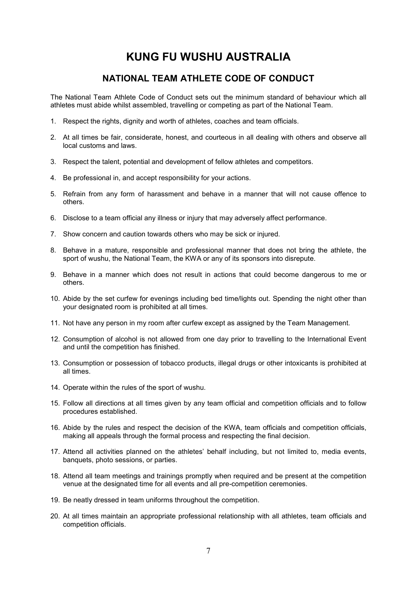### **NATIONAL TEAM ATHLETE CODE OF CONDUCT**

The National Team Athlete Code of Conduct sets out the minimum standard of behaviour which all athletes must abide whilst assembled, travelling or competing as part of the National Team.

- 1. Respect the rights, dignity and worth of athletes, coaches and team officials.
- 2. At all times be fair, considerate, honest, and courteous in all dealing with others and observe all local customs and laws.
- 3. Respect the talent, potential and development of fellow athletes and competitors.
- 4. Be professional in, and accept responsibility for your actions.
- 5. Refrain from any form of harassment and behave in a manner that will not cause offence to others.
- 6. Disclose to a team official any illness or injury that may adversely affect performance.
- 7. Show concern and caution towards others who may be sick or injured.
- 8. Behave in a mature, responsible and professional manner that does not bring the athlete, the sport of wushu, the National Team, the KWA or any of its sponsors into disrepute.
- 9. Behave in a manner which does not result in actions that could become dangerous to me or others.
- 10. Abide by the set curfew for evenings including bed time/lights out. Spending the night other than your designated room is prohibited at all times.
- 11. Not have any person in my room after curfew except as assigned by the Team Management.
- 12. Consumption of alcohol is not allowed from one day prior to travelling to the International Event and until the competition has finished.
- 13. Consumption or possession of tobacco products, illegal drugs or other intoxicants is prohibited at all times.
- 14. Operate within the rules of the sport of wushu.
- 15. Follow all directions at all times given by any team official and competition officials and to follow procedures established.
- 16. Abide by the rules and respect the decision of the KWA, team officials and competition officials, making all appeals through the formal process and respecting the final decision.
- 17. Attend all activities planned on the athletes' behalf including, but not limited to, media events, banquets, photo sessions, or parties.
- 18. Attend all team meetings and trainings promptly when required and be present at the competition venue at the designated time for all events and all pre-competition ceremonies.
- 19. Be neatly dressed in team uniforms throughout the competition.
- 20. At all times maintain an appropriate professional relationship with all athletes, team officials and competition officials.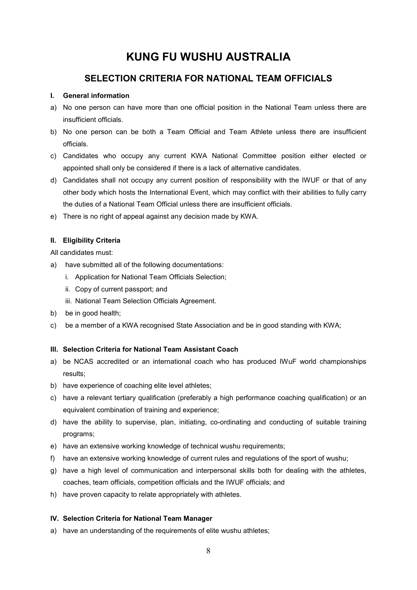### **SELECTION CRITERIA FOR NATIONAL TEAM OFFICIALS**

### **I. General information**

- a) No one person can have more than one official position in the National Team unless there are insufficient officials.
- b) No one person can be both a Team Official and Team Athlete unless there are insufficient officials.
- c) Candidates who occupy any current KWA National Committee position either elected or appointed shall only be considered if there is a lack of alternative candidates.
- d) Candidates shall not occupy any current position of responsibility with the IWUF or that of any other body which hosts the International Event, which may conflict with their abilities to fully carry the duties of a National Team Official unless there are insufficient officials.
- e) There is no right of appeal against any decision made by KWA.

### **II. Eligibility Criteria**

All candidates must:

- a) have submitted all of the following documentations:
	- i. Application for National Team Officials Selection;
	- ii. Copy of current passport; and
	- iii. National Team Selection Officials Agreement.
- b) be in good health;
- c) be a member of a KWA recognised State Association and be in good standing with KWA;

### **III. Selection Criteria for National Team Assistant Coach**

- a) be NCAS accredited or an international coach who has produced IWuF world championships results;
- b) have experience of coaching elite level athletes;
- c) have a relevant tertiary qualification (preferably a high performance coaching qualification) or an equivalent combination of training and experience;
- d) have the ability to supervise, plan, initiating, co-ordinating and conducting of suitable training programs;
- e) have an extensive working knowledge of technical wushu requirements;
- f) have an extensive working knowledge of current rules and regulations of the sport of wushu;
- g) have a high level of communication and interpersonal skills both for dealing with the athletes, coaches, team officials, competition officials and the IWUF officials; and
- h) have proven capacity to relate appropriately with athletes.

### **IV. Selection Criteria for National Team Manager**

a) have an understanding of the requirements of elite wushu athletes;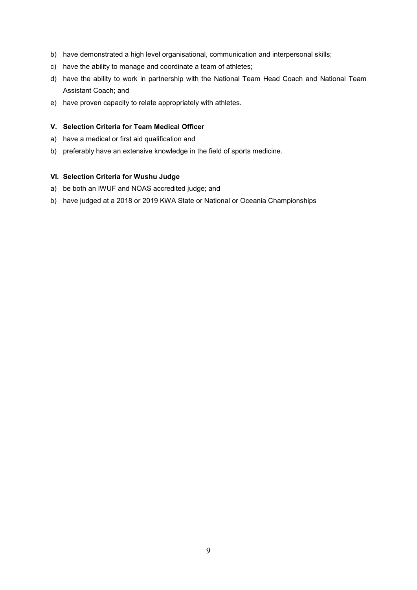- b) have demonstrated a high level organisational, communication and interpersonal skills;
- c) have the ability to manage and coordinate a team of athletes;
- d) have the ability to work in partnership with the National Team Head Coach and National Team Assistant Coach; and
- e) have proven capacity to relate appropriately with athletes.

### **V. Selection Criteria for Team Medical Officer**

- a) have a medical or first aid qualification and
- b) preferably have an extensive knowledge in the field of sports medicine.

#### **VI. Selection Criteria for Wushu Judge**

- a) be both an IWUF and NOAS accredited judge; and
- b) have judged at a 2018 or 2019 KWA State or National or Oceania Championships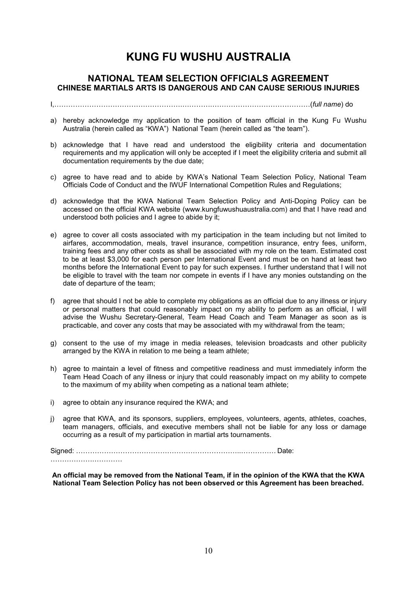### **NATIONAL TEAM SELECTION OFFICIALS AGREEMENT CHINESE MARTIALS ARTS IS DANGEROUS AND CAN CAUSE SERIOUS INJURIES**

I,AAAAAAAAAAAAAAAAAA.AAAA.AAAAAAAAAAAAAA(*full name*) do

- a) hereby acknowledge my application to the position of team official in the Kung Fu Wushu Australia (herein called as "KWA") National Team (herein called as "the team").
- b) acknowledge that I have read and understood the eligibility criteria and documentation requirements and my application will only be accepted if I meet the eligibility criteria and submit all documentation requirements by the due date;
- c) agree to have read and to abide by KWA's National Team Selection Policy, National Team Officials Code of Conduct and the IWUF International Competition Rules and Regulations;
- d) acknowledge that the KWA National Team Selection Policy and Anti-Doping Policy can be accessed on the official KWA website (www.kungfuwushuaustralia.com) and that I have read and understood both policies and I agree to abide by it;
- e) agree to cover all costs associated with my participation in the team including but not limited to airfares, accommodation, meals, travel insurance, competition insurance, entry fees, uniform, training fees and any other costs as shall be associated with my role on the team. Estimated cost to be at least \$3,000 for each person per International Event and must be on hand at least two months before the International Event to pay for such expenses. I further understand that I will not be eligible to travel with the team nor compete in events if I have any monies outstanding on the date of departure of the team;
- f) agree that should I not be able to complete my obligations as an official due to any illness or injury or personal matters that could reasonably impact on my ability to perform as an official, I will advise the Wushu Secretary-General, Team Head Coach and Team Manager as soon as is practicable, and cover any costs that may be associated with my withdrawal from the team;
- g) consent to the use of my image in media releases, television broadcasts and other publicity arranged by the KWA in relation to me being a team athlete;
- h) agree to maintain a level of fitness and competitive readiness and must immediately inform the Team Head Coach of any illness or injury that could reasonably impact on my ability to compete to the maximum of my ability when competing as a national team athlete;
- i) agree to obtain any insurance required the KWA; and
- j) agree that KWA, and its sponsors, suppliers, employees, volunteers, agents, athletes, coaches, team managers, officials, and executive members shall not be liable for any loss or damage occurring as a result of my participation in martial arts tournaments.

Signed: AAAAAAAAAAAAAAAAAAAAAAA..AAAAA Date: AAAAAA.AAAA

**An official may be removed from the National Team, if in the opinion of the KWA that the KWA National Team Selection Policy has not been observed or this Agreement has been breached.**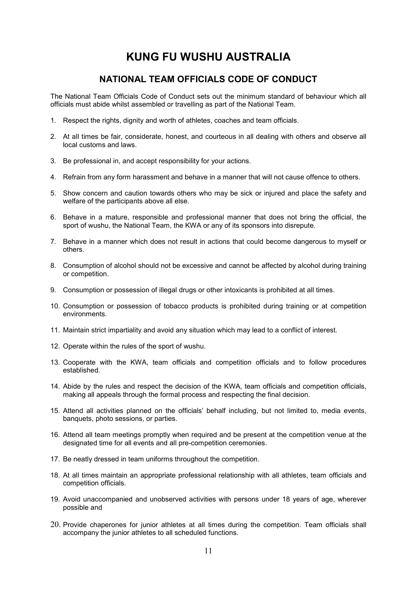### **NATIONAL TEAM OFFICIALS CODE OF CONDUCT**

The National Team Officials Code of Conduct sets out the minimum standard of behaviour which all officials must abide whilst assembled or travelling as part of the National Team.

- 1. Respect the rights, dignity and worth of athletes, coaches and team officials.
- 2. At all times be fair, considerate, honest, and courteous in all dealing with others and observe all local customs and laws.
- 3. Be professional in, and accept responsibility for your actions.
- 4. Refrain from any form harassment and behave in a manner that will not cause offence to others.
- 5. Show concern and caution towards others who may be sick or injured and place the safety and welfare of the participants above all else.
- 6. Behave in a mature, responsible and professional manner that does not bring the official, the sport of wushu, the National Team, the KWA or any of its sponsors into disrepute.
- 7. Behave in a manner which does not result in actions that could become dangerous to myself or others.
- 8. Consumption of alcohol should not be excessive and cannot be affected by alcohol during training or competition.
- 9. Consumption or possession of illegal drugs or other intoxicants is prohibited at all times.
- 10. Consumption or possession of tobacco products is prohibited during training or at competition environments.
- 11. Maintain strict impartiality and avoid any situation which may lead to a conflict of interest.
- 12. Operate within the rules of the sport of wushu.
- 13. Cooperate with the KWA, team officials and competition officials and to follow procedures established.
- 14. Abide by the rules and respect the decision of the KWA, team officials and competition officials, making all appeals through the formal process and respecting the final decision.
- 15. Attend all activities planned on the officials' behalf including, but not limited to, media events, banquets, photo sessions, or parties.
- 16. Attend all team meetings promptly when required and be present at the competition venue at the designated time for all events and all pre-competition ceremonies.
- 17. Be neatly dressed in team uniforms throughout the competition.
- 18. At all times maintain an appropriate professional relationship with all athletes, team officials and competition officials.
- 19. Avoid unaccompanied and unobserved activities with persons under 18 years of age, wherever possible and
- 20. Provide chaperones for junior athletes at all times during the competition. Team officials shall accompany the junior athletes to all scheduled functions.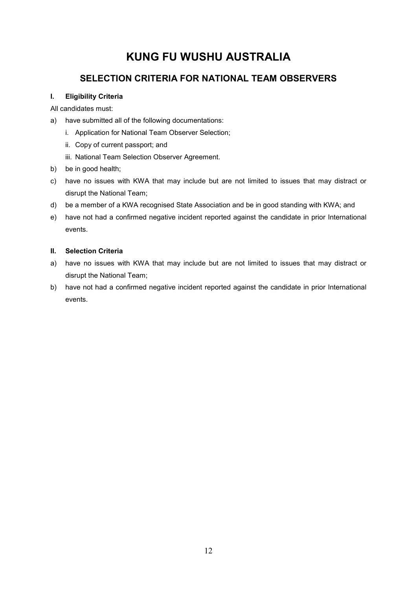## **SELECTION CRITERIA FOR NATIONAL TEAM OBSERVERS**

### **I. Eligibility Criteria**

All candidates must:

- a) have submitted all of the following documentations:
	- i. Application for National Team Observer Selection;
	- ii. Copy of current passport; and
	- iii. National Team Selection Observer Agreement.
- b) be in good health;
- c) have no issues with KWA that may include but are not limited to issues that may distract or disrupt the National Team;
- d) be a member of a KWA recognised State Association and be in good standing with KWA; and
- e) have not had a confirmed negative incident reported against the candidate in prior International events.

### **II. Selection Criteria**

- a) have no issues with KWA that may include but are not limited to issues that may distract or disrupt the National Team;
- b) have not had a confirmed negative incident reported against the candidate in prior International events.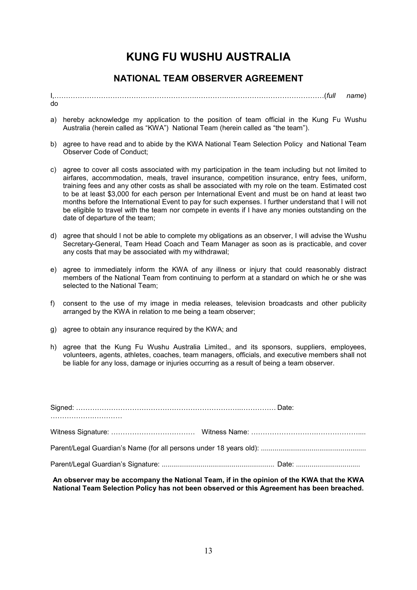### **NATIONAL TEAM OBSERVER AGREEMENT**

I,AAAAAAAAAAAAAAAAAAAA.AAAA.AAAAAAAAAAAAAA(*full name*) do

- a) hereby acknowledge my application to the position of team official in the Kung Fu Wushu Australia (herein called as "KWA") National Team (herein called as "the team").
- b) agree to have read and to abide by the KWA National Team Selection Policy and National Team Observer Code of Conduct;
- c) agree to cover all costs associated with my participation in the team including but not limited to airfares, accommodation, meals, travel insurance, competition insurance, entry fees, uniform, training fees and any other costs as shall be associated with my role on the team. Estimated cost to be at least \$3,000 for each person per International Event and must be on hand at least two months before the International Event to pay for such expenses. I further understand that I will not be eligible to travel with the team nor compete in events if I have any monies outstanding on the date of departure of the team;
- d) agree that should I not be able to complete my obligations as an observer, I will advise the Wushu Secretary-General, Team Head Coach and Team Manager as soon as is practicable, and cover any costs that may be associated with my withdrawal;
- e) agree to immediately inform the KWA of any illness or injury that could reasonably distract members of the National Team from continuing to perform at a standard on which he or she was selected to the National Team;
- f) consent to the use of my image in media releases, television broadcasts and other publicity arranged by the KWA in relation to me being a team observer;
- g) agree to obtain any insurance required by the KWA; and
- h) agree that the Kung Fu Wushu Australia Limited., and its sponsors, suppliers, employees, volunteers, agents, athletes, coaches, team managers, officials, and executive members shall not be liable for any loss, damage or injuries occurring as a result of being a team observer.

#### **An observer may be accompany the National Team, if in the opinion of the KWA that the KWA National Team Selection Policy has not been observed or this Agreement has been breached.**